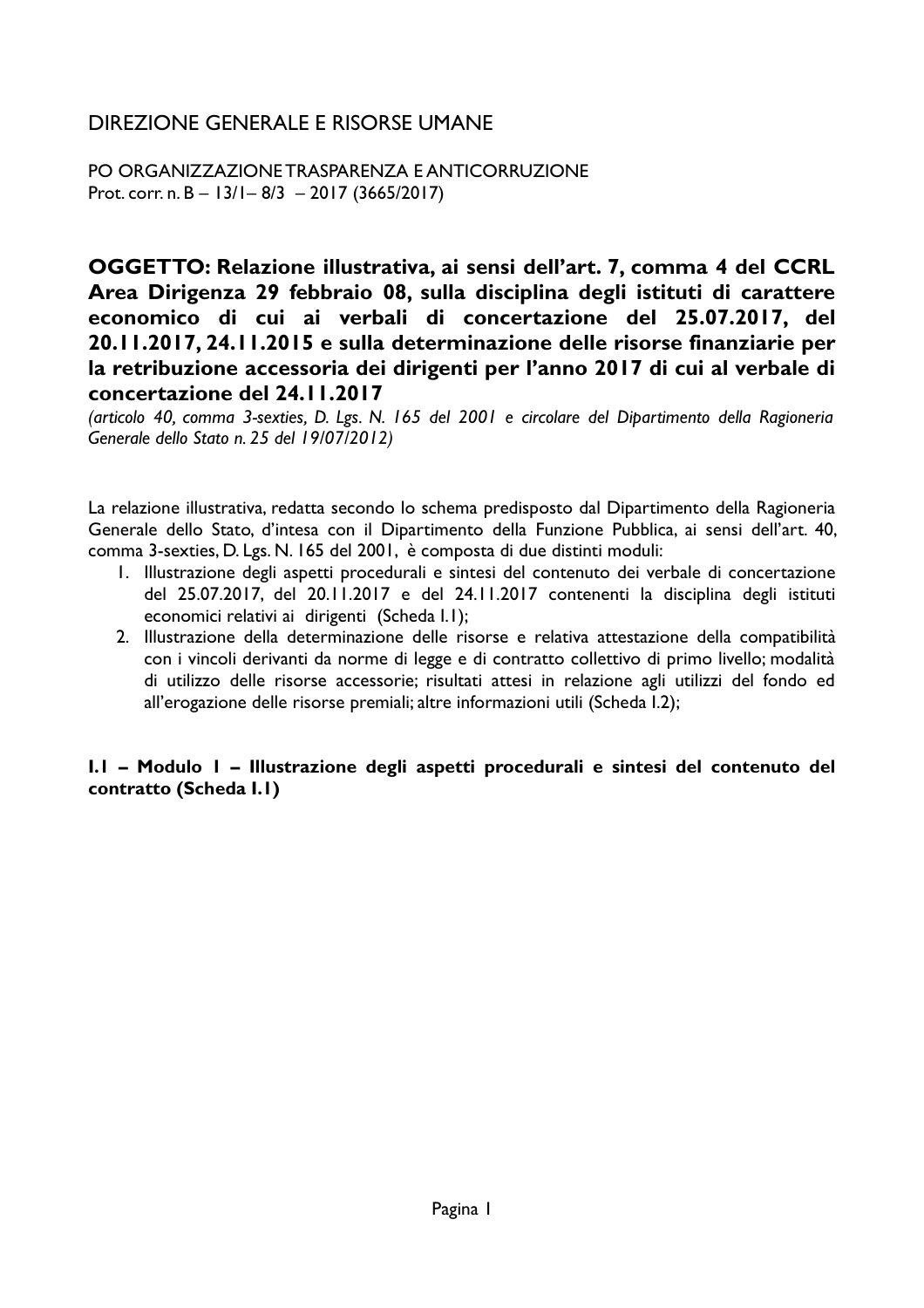# DIREZIONE GENERALE E RISORSE UMANE

PO ORGANIZZAZIONE TRASPARENZA E ANTICORRUZIONE Prot. corr. n. B -  $13/1 - 8/3 - 2017$  (3665/2017)

OGGETTO: Relazione illustrativa, ai sensi dell'art. 7, comma 4 del CCRL Area Dirigenza 29 febbraio 08, sulla disciplina degli istituti di carattere economico di cui ai verbali di concertazione del 25.07.2017, del 20.11.2017, 24.11.2015 e sulla determinazione delle risorse finanziarie per la retribuzione accessoria dei dirigenti per l'anno 2017 di cui al verbale di concertazione del 24.11.2017

(articolo 40, comma 3-sexties, D. Lgs. N. 165 del 2001 e circolare del Dipartimento della Ragioneria Generale dello Stato n. 25 del 19/07/2012)

La relazione illustrativa, redatta secondo lo schema predisposto dal Dipartimento della Ragioneria Generale dello Stato, d'intesa con il Dipartimento della Funzione Pubblica, ai sensi dell'art. 40, comma 3-sexties, D. Lgs. N. 165 del 2001, è composta di due distinti moduli:

- 1. Illustrazione degli aspetti procedurali e sintesi del contenuto dei verbale di concertazione del 25.07.2017, del 20.11.2017 e del 24.11.2017 contenenti la disciplina degli istituti economici relativi ai dirigenti (Scheda I.I);
- 2. Illustrazione della determinazione delle risorse e relativa attestazione della compatibilità con i vincoli derivanti da norme di legge e di contratto collettivo di primo livello; modalità di utilizzo delle risorse accessorie; risultati attesi in relazione agli utilizzi del fondo ed all'erogazione delle risorse premiali; altre informazioni utili (Scheda I.2);

### I.I - Modulo I - Illustrazione degli aspetti procedurali e sintesi del contenuto del contratto (Scheda I.1)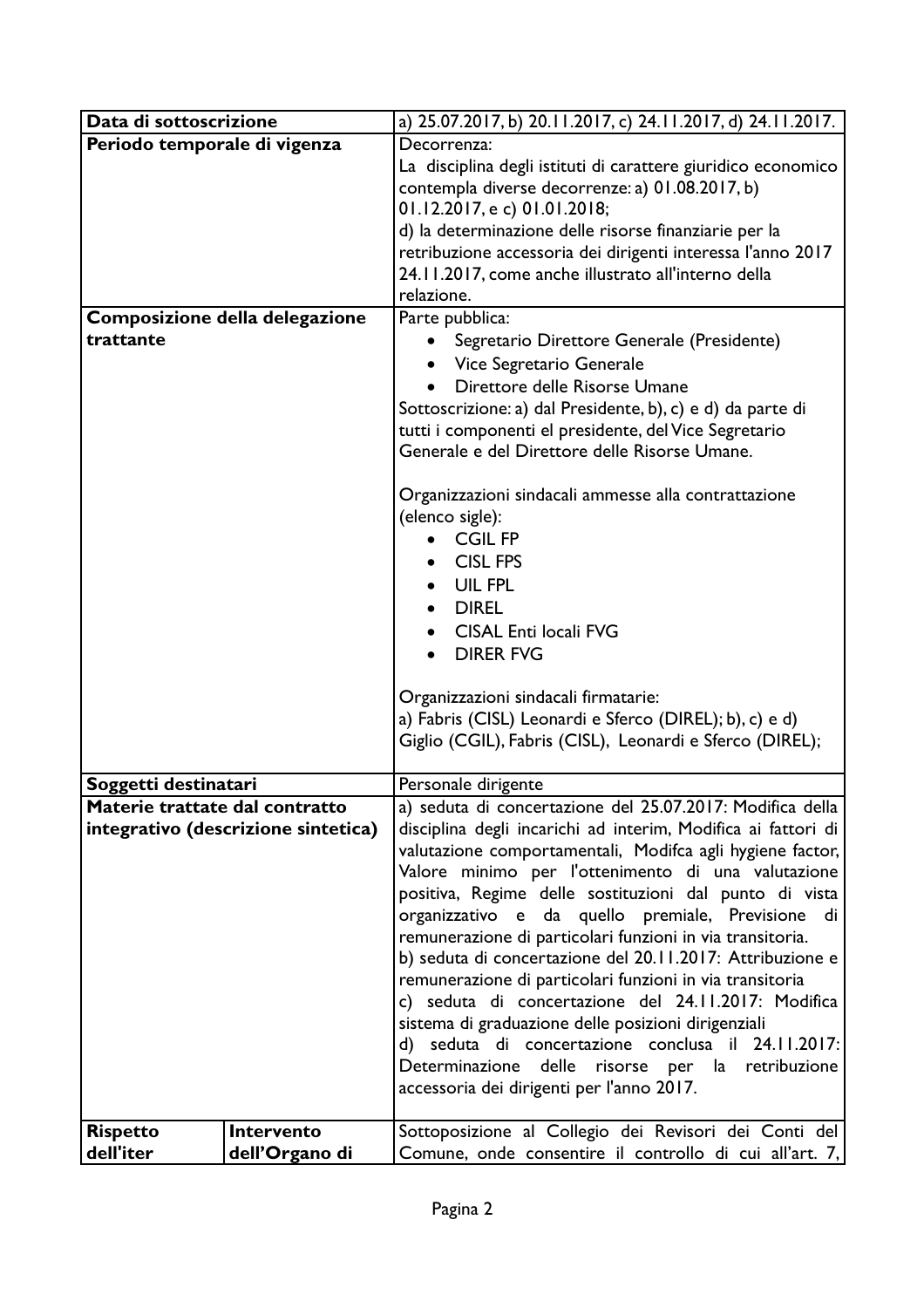| Data di sottoscrizione         |                                     | a) 25.07.2017, b) 20.11.2017, c) 24.11.2017, d) 24.11.2017.                                                |
|--------------------------------|-------------------------------------|------------------------------------------------------------------------------------------------------------|
| Periodo temporale di vigenza   |                                     | Decorrenza:                                                                                                |
|                                |                                     | La disciplina degli istituti di carattere giuridico economico                                              |
|                                |                                     | contempla diverse decorrenze: a) 01.08.2017, b)                                                            |
|                                |                                     | 01.12.2017, e c) 01.01.2018;                                                                               |
|                                |                                     | d) la determinazione delle risorse finanziarie per la                                                      |
|                                |                                     | retribuzione accessoria dei dirigenti interessa l'anno 2017                                                |
|                                |                                     | 24.11.2017, come anche illustrato all'interno della<br>relazione.                                          |
|                                | Composizione della delegazione      | Parte pubblica:                                                                                            |
| trattante                      |                                     |                                                                                                            |
|                                |                                     | Segretario Direttore Generale (Presidente)<br>• Vice Segretario Generale                                   |
|                                |                                     | Direttore delle Risorse Umane                                                                              |
|                                |                                     | Sottoscrizione: a) dal Presidente, b), c) e d) da parte di                                                 |
|                                |                                     | tutti i componenti el presidente, del Vice Segretario                                                      |
|                                |                                     | Generale e del Direttore delle Risorse Umane.                                                              |
|                                |                                     |                                                                                                            |
|                                |                                     | Organizzazioni sindacali ammesse alla contrattazione                                                       |
|                                |                                     | (elenco sigle):                                                                                            |
|                                |                                     | <b>CGIL FP</b>                                                                                             |
|                                |                                     | • CISL FPS                                                                                                 |
|                                |                                     | UIL FPL                                                                                                    |
|                                |                                     | <b>DIREL</b>                                                                                               |
|                                |                                     | <b>CISAL Enti locali FVG</b>                                                                               |
|                                |                                     | <b>DIRER FVG</b>                                                                                           |
|                                |                                     |                                                                                                            |
|                                |                                     | Organizzazioni sindacali firmatarie:                                                                       |
|                                |                                     | a) Fabris (CISL) Leonardi e Sferco (DIREL); b), c) e d)                                                    |
|                                |                                     | Giglio (CGIL), Fabris (CISL), Leonardi e Sferco (DIREL);                                                   |
| Soggetti destinatari           |                                     | Personale dirigente                                                                                        |
| Materie trattate dal contratto |                                     | a) seduta di concertazione del 25.07.2017: Modifica della                                                  |
|                                | integrativo (descrizione sintetica) | disciplina degli incarichi ad interim, Modifica ai fattori di                                              |
|                                |                                     | valutazione comportamentali, Modifca agli hygiene factor,                                                  |
|                                |                                     | Valore minimo per l'ottenimento di una valutazione                                                         |
|                                |                                     | positiva, Regime delle sostituzioni dal punto di vista                                                     |
|                                |                                     | organizzativo e da quello premiale, Previsione di                                                          |
|                                |                                     | remunerazione di particolari funzioni in via transitoria.                                                  |
|                                |                                     | b) seduta di concertazione del 20.11.2017: Attribuzione e                                                  |
|                                |                                     | remunerazione di particolari funzioni in via transitoria                                                   |
|                                |                                     | c) seduta di concertazione del 24.11.2017: Modifica<br>sistema di graduazione delle posizioni dirigenziali |
|                                |                                     | d) seduta di concertazione conclusa il 24.11.2017:                                                         |
|                                |                                     | Determinazione delle risorse per la retribuzione                                                           |
|                                |                                     | accessoria dei dirigenti per l'anno 2017.                                                                  |
|                                |                                     |                                                                                                            |
| <b>Rispetto</b>                | Intervento                          | Sottoposizione al Collegio dei Revisori dei Conti del                                                      |
| dell'iter                      | dell'Organo di                      | Comune, onde consentire il controllo di cui all'art. 7,                                                    |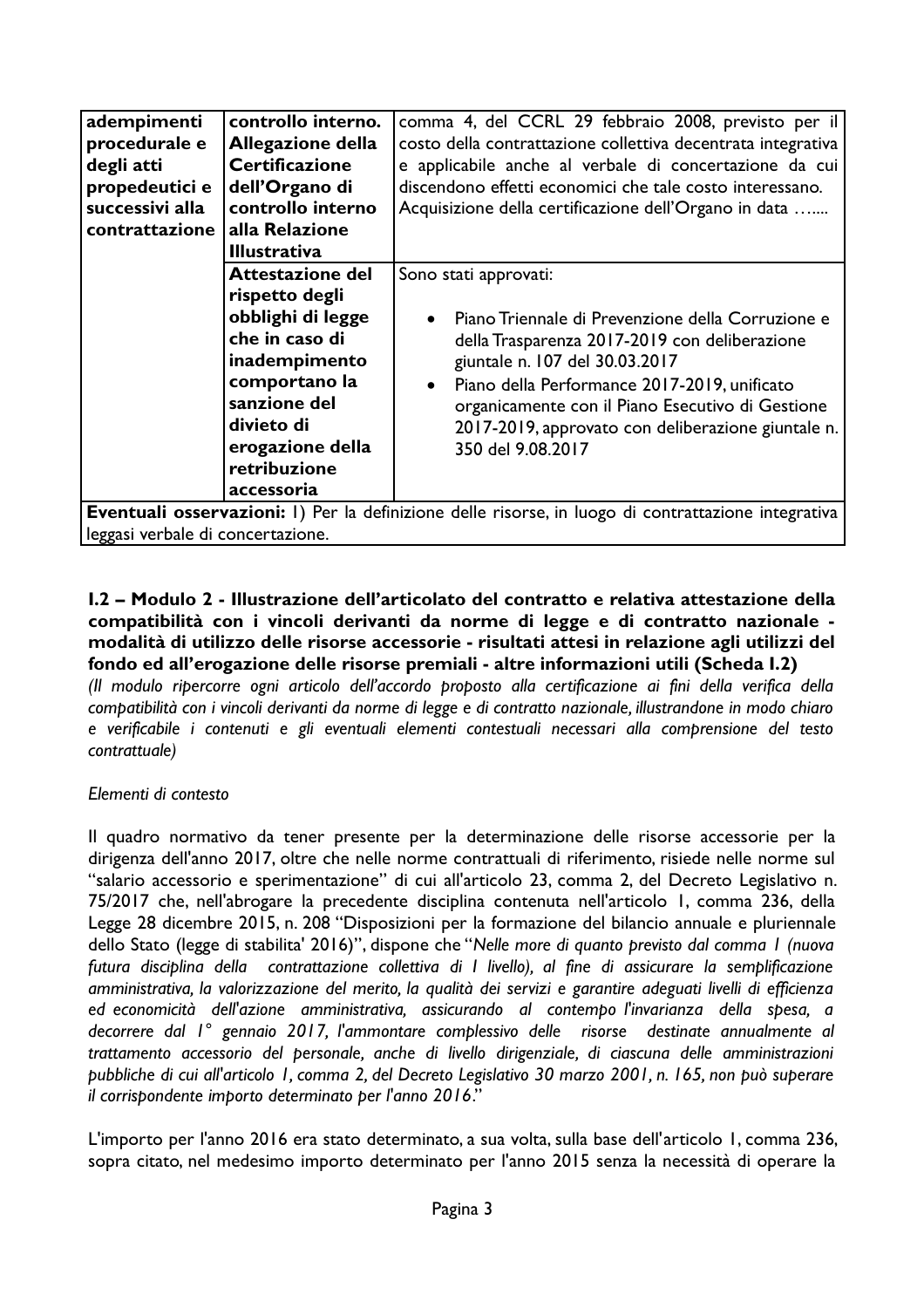| adempimenti<br>procedurale e<br>degli atti<br>propedeutici e<br>successivi alla<br>contrattazione | controllo interno.<br><b>Allegazione della</b><br><b>Certificazione</b><br>dell'Organo di<br>controllo interno<br>alla Relazione<br><b>Illustrativa</b>                                     | comma 4, del CCRL 29 febbraio 2008, previsto per il<br>costo della contrattazione collettiva decentrata integrativa<br>e applicabile anche al verbale di concertazione da cui<br>discendono effetti economici che tale costo interessano.<br>Acquisizione della certificazione dell'Organo in data                                                                                                                                                          |
|---------------------------------------------------------------------------------------------------|---------------------------------------------------------------------------------------------------------------------------------------------------------------------------------------------|-------------------------------------------------------------------------------------------------------------------------------------------------------------------------------------------------------------------------------------------------------------------------------------------------------------------------------------------------------------------------------------------------------------------------------------------------------------|
|                                                                                                   | Attestazione del<br>rispetto degli<br>obblighi di legge<br>che in caso di<br>inadempimento<br>comportano la<br>sanzione del<br>divieto di<br>erogazione della<br>retribuzione<br>accessoria | Sono stati approvati:<br>Piano Triennale di Prevenzione della Corruzione e<br>della Trasparenza 2017-2019 con deliberazione<br>giuntale n. 107 del 30.03.2017<br>Piano della Performance 2017-2019, unificato<br>organicamente con il Piano Esecutivo di Gestione<br>2017-2019, approvato con deliberazione giuntale n.<br>350 del 9.08.2017<br><b>Eventuali osservazioni:</b> I) Per la definizione delle risorse in luogo di contrattazione integrativa l |

Per la definizione delle risorse, in luogo leggasi verbale di concertazione.

## I.2 – Modulo 2 - Illustrazione dell'articolato del contratto e relativa attestazione della compatibilità con i vincoli derivanti da norme di legge e di contratto nazionale modalità di utilizzo delle risorse accessorie - risultati attesi in relazione agli utilizzi del fondo ed all'erogazione delle risorse premiali - altre informazioni utili (Scheda I.2)

(Il modulo ripercorre ogni articolo dell'accordo proposto alla certificazione ai fini della verifica della compatibilità con i vincoli derivanti da norme di legge e di contratto nazionale, illustrandone in modo chiaro e verificabile i contenuti e gli eventuali elementi contestuali necessari alla comprensione del testo contrattuale)

## Elementi di contesto

Il quadro normativo da tener presente per la determinazione delle risorse accessorie per la dirigenza dell'anno 2017, oltre che nelle norme contrattuali di riferimento, risiede nelle norme sul "salario accessorio e sperimentazione" di cui all'articolo 23, comma 2, del Decreto Legislativo n. 75/2017 che, nell'abrogare la precedente disciplina contenuta nell'articolo 1, comma 236, della Legge 28 dicembre 2015, n. 208 "Disposizioni per la formazione del bilancio annuale e pluriennale dello Stato (legge di stabilita' 2016)", dispone che "Nelle more di quanto previsto dal comma I (nuova futura disciplina della contrattazione collettiva di I livello), al fine di assicurare la semplificazione amministrativa, la valorizzazione del merito, la qualità dei servizi e garantire adeguati livelli di efficienza ed economicità dell'azione amministrativa, assicurando al contempo l'invarianza della spesa, a decorrere dal 1° gennaio 2017, l'ammontare complessivo delle risorse destinate annualmente al trattamento accessorio del personale, anche di livello dirigenziale, di ciascuna delle amministrazioni pubbliche di cui all'articolo 1, comma 2, del Decreto Legislativo 30 marzo 2001, n. 165, non può superare il corrispondente importo determinato per l'anno 2016."

L'importo per l'anno 2016 era stato determinato, a sua volta, sulla base dell'articolo 1, comma 236, sopra citato, nel medesimo importo determinato per l'anno 2015 senza la necessità di operare la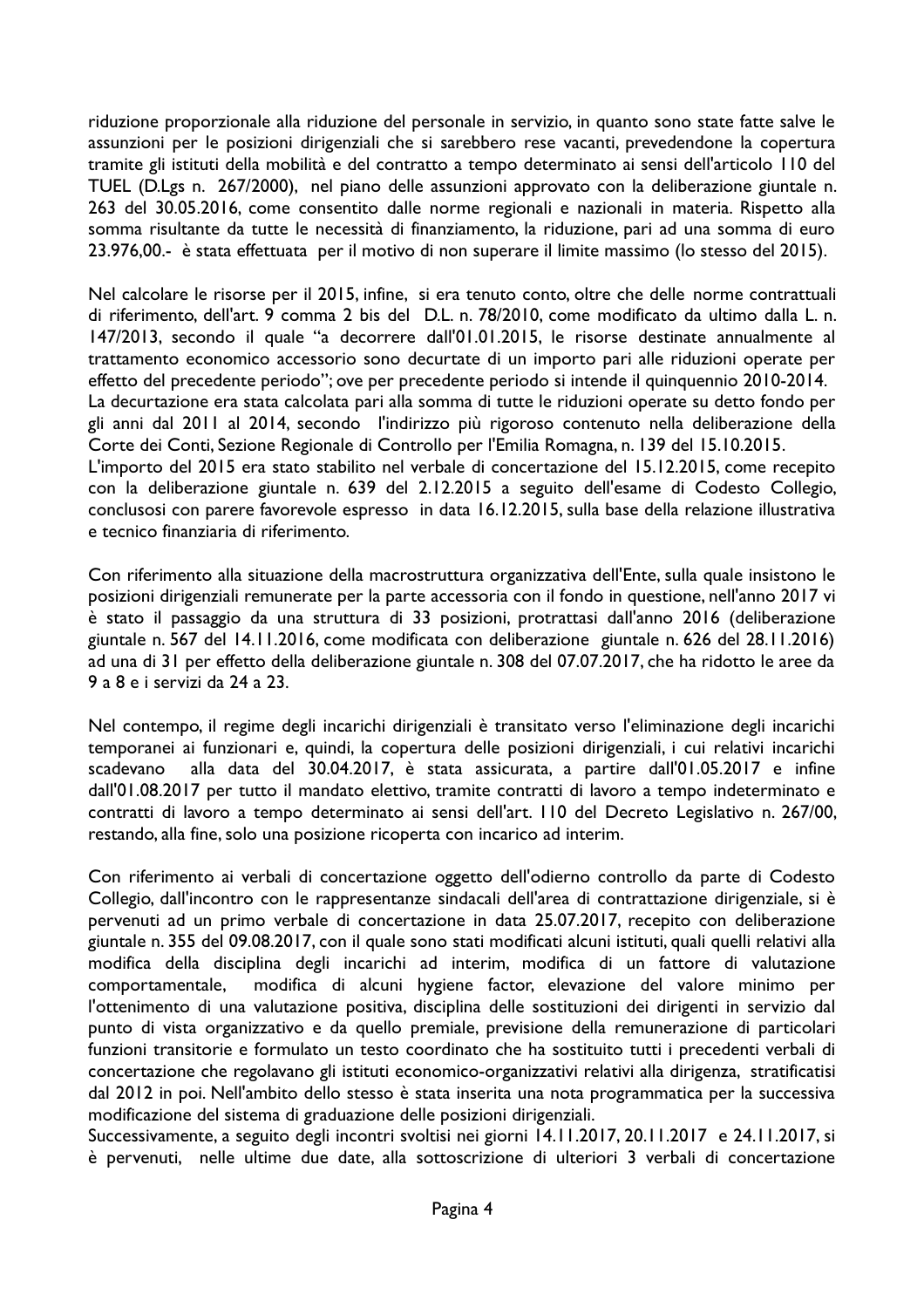riduzione proporzionale alla riduzione del personale in servizio, in quanto sono state fatte salve le assunzioni per le posizioni dirigenziali che si sarebbero rese vacanti, prevedendone la copertura tramite gli istituti della mobilità e del contratto a tempo determinato ai sensi dell'articolo 110 del TUEL (D.Lgs n. 267/2000), nel piano delle assunzioni approvato con la deliberazione giuntale n. 263 del 30.05.2016, come consentito dalle norme regionali e nazionali in materia. Rispetto alla somma risultante da tutte le necessità di finanziamento, la riduzione, pari ad una somma di euro 23.976,00.- è stata effettuata per il motivo di non superare il limite massimo (lo stesso del 2015).

Nel calcolare le risorse per il 2015, infine, si era tenuto conto, oltre che delle norme contrattuali di riferimento, dell'art. 9 comma 2 bis del D.L. n. 78/2010, come modificato da ultimo dalla L. n. 147/2013, secondo il quale "a decorrere dall'01.01.2015, le risorse destinate annualmente al trattamento economico accessorio sono decurtate di un importo pari alle riduzioni operate per effetto del precedente periodo"; ove per precedente periodo si intende il quinquennio 2010-2014. La decurtazione era stata calcolata pari alla somma di tutte le riduzioni operate su detto fondo per gli anni dal 2011 al 2014, secondo l'indirizzo più rigoroso contenuto nella deliberazione della Corte dei Conti, Sezione Regionale di Controllo per l'Emilia Romagna, n. 139 del 15.10.2015. L'importo del 2015 era stato stabilito nel verbale di concertazione del 15.12.2015, come recepito con la deliberazione giuntale n. 639 del 2.12.2015 a seguito dell'esame di Codesto Collegio, conclusosi con parere favorevole espresso in data 16.12.2015, sulla base della relazione illustrativa e tecnico finanziaria di riferimento.

Con riferimento alla situazione della macrostruttura organizzativa dell'Ente, sulla quale insistono le posizioni dirigenziali remunerate per la parte accessoria con il fondo in questione, nell'anno 2017 vi è stato il passaggio da una struttura di 33 posizioni, protrattasi dall'anno 2016 (deliberazione giuntale n. 567 del 14.11.2016, come modificata con deliberazione giuntale n. 626 del 28.11.2016) ad una di 31 per effetto della deliberazione giuntale n. 308 del 07.07.2017, che ha ridotto le aree da 9 a 8 e i servizi da 24 a 23.

Nel contempo, il regime degli incarichi dirigenziali è transitato verso l'eliminazione degli incarichi temporanei ai funzionari e, quindi, la copertura delle posizioni dirigenziali, i cui relativi incarichi alla data del 30.04.2017, è stata assicurata, a partire dall'01.05.2017 e infine scadevano dall'01.08.2017 per tutto il mandato elettivo, tramite contratti di lavoro a tempo indeterminato e contratti di lavoro a tempo determinato ai sensi dell'art. II0 del Decreto Legislativo n. 267/00, restando, alla fine, solo una posizione ricoperta con incarico ad interim.

Con riferimento ai verbali di concertazione oggetto dell'odierno controllo da parte di Codesto Collegio, dall'incontro con le rappresentanze sindacali dell'area di contrattazione dirigenziale, si è pervenuti ad un primo verbale di concertazione in data 25.07.2017, recepito con deliberazione giuntale n. 355 del 09.08.2017, con il quale sono stati modificati alcuni istituti, quali quelli relativi alla modifica della disciplina degli incarichi ad interim, modifica di un fattore di valutazione modifica di alcuni hygiene factor, elevazione del valore minimo per comportamentale, l'ottenimento di una valutazione positiva, disciplina delle sostituzioni dei dirigenti in servizio dal punto di vista organizzativo e da quello premiale, previsione della remunerazione di particolari funzioni transitorie e formulato un testo coordinato che ha sostituito tutti i precedenti verbali di concertazione che regolavano gli istituti economico-organizzativi relativi alla dirigenza, stratificatisi dal 2012 in poi. Nell'ambito dello stesso è stata inserita una nota programmatica per la successiva modificazione del sistema di graduazione delle posizioni dirigenziali.

Successivamente, a seguito degli incontri svoltisi nei giorni 14.11.2017, 20.11.2017 e 24.11.2017, si è pervenuti, nelle ultime due date, alla sottoscrizione di ulteriori 3 verbali di concertazione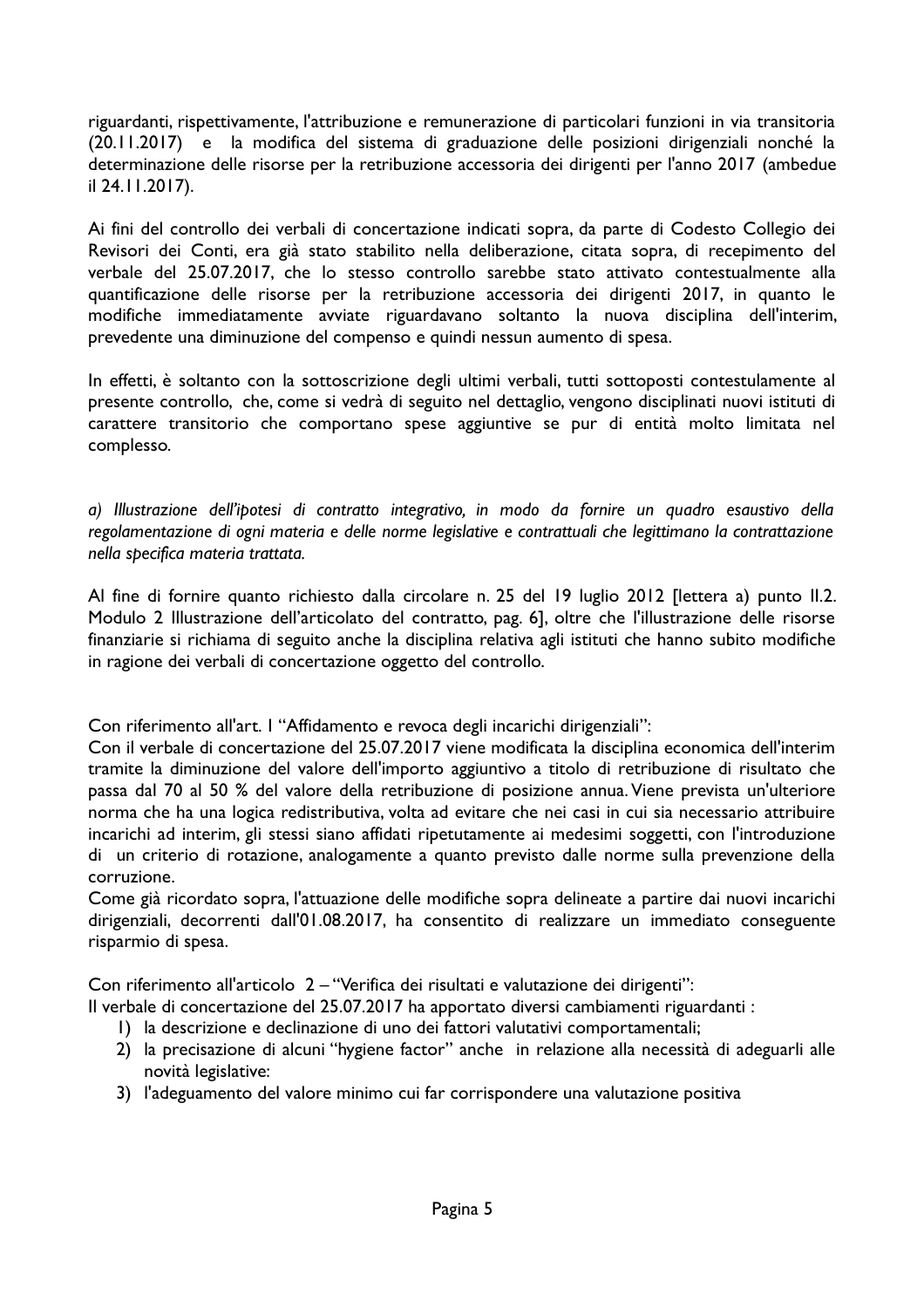riguardanti, rispettivamente, l'attribuzione e remunerazione di particolari funzioni in via transitoria (20.11.2017) e la modifica del sistema di graduazione delle posizioni dirigenziali nonché la determinazione delle risorse per la retribuzione accessoria dei dirigenti per l'anno 2017 (ambedue il 24.11.2017).

Ai fini del controllo dei verbali di concertazione indicati sopra, da parte di Codesto Collegio dei Revisori dei Conti, era già stato stabilito nella deliberazione, citata sopra, di recepimento del verbale del 25.07.2017, che lo stesso controllo sarebbe stato attivato contestualmente alla quantificazione delle risorse per la retribuzione accessoria dei dirigenti 2017, in quanto le modifiche immediatamente avviate riguardavano soltanto la nuova disciplina dell'interim, prevedente una diminuzione del compenso e quindi nessun aumento di spesa.

In effetti, è soltanto con la sottoscrizione degli ultimi verbali, tutti sottoposti contestulamente al presente controllo, che, come si vedrà di seguito nel dettaglio, vengono disciplinati nuovi istituti di carattere transitorio che comportano spese aggiuntive se pur di entità molto limitata nel complesso.

a) Illustrazione dell'ipotesi di contratto integrativo, in modo da fornire un quadro esaustivo della regolamentazione di ogni materia e delle norme legislative e contrattuali che legittimano la contrattazione nella specifica materia trattata.

Al fine di fornire quanto richiesto dalla circolare n. 25 del 19 luglio 2012 [lettera a) punto II.2. Modulo 2 Illustrazione dell'articolato del contratto, pag. 6], oltre che l'illustrazione delle risorse finanziarie si richiama di seguito anche la disciplina relativa agli istituti che hanno subito modifiche in ragione dei verbali di concertazione oggetto del controllo.

Con riferimento all'art. I "Affidamento e revoca degli incarichi dirigenziali":

Con il verbale di concertazione del 25.07.2017 viene modificata la disciplina economica dell'interim tramite la diminuzione del valore dell'importo aggiuntivo a titolo di retribuzione di risultato che passa dal 70 al 50 % del valore della retribuzione di posizione annua. Viene prevista un'ulteriore norma che ha una logica redistributiva, volta ad evitare che nei casi in cui sia necessario attribuire incarichi ad interim, gli stessi siano affidati ripetutamente ai medesimi soggetti, con l'introduzione di un criterio di rotazione, analogamente a quanto previsto dalle norme sulla prevenzione della corruzione.

Come già ricordato sopra, l'attuazione delle modifiche sopra delineate a partire dai nuovi incarichi dirigenziali, decorrenti dall'01.08.2017, ha consentito di realizzare un immediato conseguente risparmio di spesa.

Con riferimento all'articolo 2-"Verifica dei risultati e valutazione dei dirigenti":

- Il verbale di concertazione del 25.07.2017 ha apportato diversi cambiamenti riguardanti :
	- I) la descrizione e declinazione di uno dei fattori valutativi comportamentali;
	- 2) la precisazione di alcuni "hygiene factor" anche in relazione alla necessità di adeguarli alle novità legislative:
	- 3) l'adeguamento del valore minimo cui far corrispondere una valutazione positiva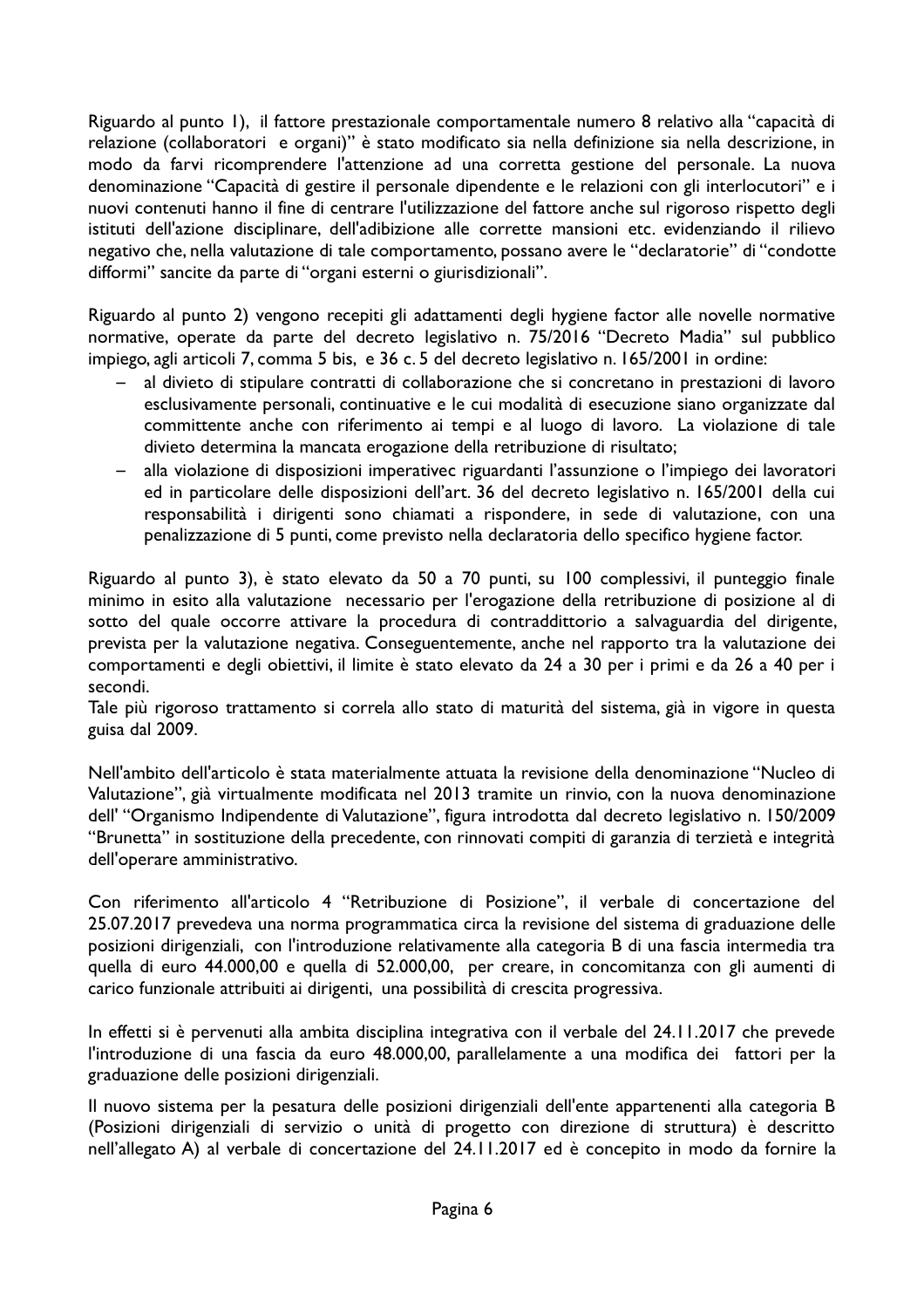Riguardo al punto 1), il fattore prestazionale comportamentale numero 8 relativo alla "capacità di relazione (collaboratori e organi)" è stato modificato sia nella definizione sia nella descrizione, in modo da farvi ricomprendere l'attenzione ad una corretta gestione del personale. La nuova denominazione "Capacità di gestire il personale dipendente e le relazioni con gli interlocutori" e i nuovi contenuti hanno il fine di centrare l'utilizzazione del fattore anche sul rigoroso rispetto degli istituti dell'azione disciplinare, dell'adibizione alle corrette mansioni etc. evidenziando il rilievo negativo che, nella valutazione di tale comportamento, possano avere le "declaratorie" di "condotte difformi" sancite da parte di "organi esterni o giurisdizionali".

Riguardo al punto 2) vengono recepiti gli adattamenti degli hygiene factor alle novelle normative normative, operate da parte del decreto legislativo n. 75/2016 "Decreto Madia" sul pubblico impiego, agli articoli 7, comma 5 bis, e 36 c. 5 del decreto legislativo n. 165/2001 in ordine:

- al divieto di stipulare contratti di collaborazione che si concretano in prestazioni di lavoro esclusivamente personali, continuative e le cui modalità di esecuzione siano organizzate dal committente anche con riferimento ai tempi e al luogo di lavoro. La violazione di tale divieto determina la mancata erogazione della retribuzione di risultato;
- alla violazione di disposizioni imperativec riguardanti l'assunzione o l'impiego dei lavoratori  $\,$ ed in particolare delle disposizioni dell'art. 36 del decreto legislativo n. 165/2001 della cui responsabilità i dirigenti sono chiamati a rispondere, in sede di valutazione, con una penalizzazione di 5 punti, come previsto nella declaratoria dello specifico hygiene factor.

Riguardo al punto 3), è stato elevato da 50 a 70 punti, su 100 complessivi, il punteggio finale minimo in esito alla valutazione necessario per l'erogazione della retribuzione di posizione al di sotto del quale occorre attivare la procedura di contraddittorio a salvaguardia del dirigente, prevista per la valutazione negativa. Conseguentemente, anche nel rapporto tra la valutazione dei comportamenti e degli obiettivi, il limite è stato elevato da 24 a 30 per i primi e da 26 a 40 per i secondi.

Tale più rigoroso trattamento si correla allo stato di maturità del sistema, già in vigore in questa guisa dal 2009.

Nell'ambito dell'articolo è stata materialmente attuata la revisione della denominazione "Nucleo di Valutazione", già virtualmente modificata nel 2013 tramite un rinvio, con la nuova denominazione dell' "Organismo Indipendente di Valutazione", figura introdotta dal decreto legislativo n. 150/2009 "Brunetta" in sostituzione della precedente, con rinnovati compiti di garanzia di terzietà e integrità dell'operare amministrativo.

Con riferimento all'articolo 4 "Retribuzione di Posizione", il verbale di concertazione del 25.07.2017 prevedeva una norma programmatica circa la revisione del sistema di graduazione delle posizioni dirigenziali, con l'introduzione relativamente alla categoria B di una fascia intermedia tra quella di euro 44.000,00 e quella di 52.000,00, per creare, in concomitanza con gli aumenti di carico funzionale attribuiti ai dirigenti, una possibilità di crescita progressiva.

In effetti si è pervenuti alla ambita disciplina integrativa con il verbale del 24.11.2017 che prevede l'introduzione di una fascia da euro 48.000,00, parallelamente a una modifica dei fattori per la graduazione delle posizioni dirigenziali.

Il nuovo sistema per la pesatura delle posizioni dirigenziali dell'ente appartenenti alla categoria B (Posizioni dirigenziali di servizio o unità di progetto con direzione di struttura) è descritto nell'allegato A) al verbale di concertazione del 24.11.2017 ed è concepito in modo da fornire la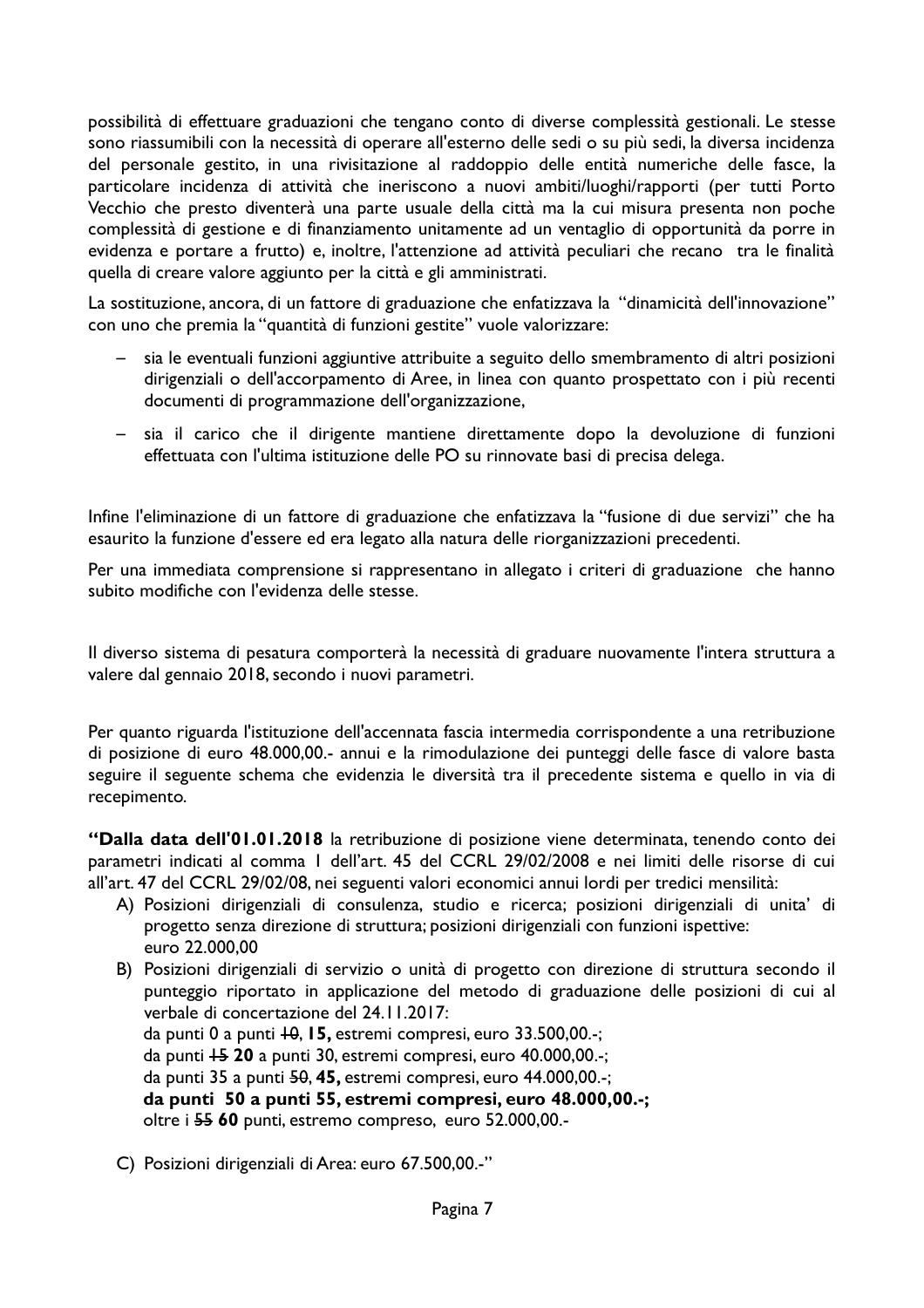possibilità di effettuare graduazioni che tengano conto di diverse complessità gestionali. Le stesse sono riassumibili con la necessità di operare all'esterno delle sedi o su più sedi, la diversa incidenza del personale gestito, in una rivisitazione al raddoppio delle entità numeriche delle fasce, la particolare incidenza di attività che ineriscono a nuovi ambiti/luoghi/rapporti (per tutti Porto Vecchio che presto diventerà una parte usuale della città ma la cui misura presenta non poche complessità di gestione e di finanziamento unitamente ad un ventaglio di opportunità da porre in evidenza e portare a frutto) e, inoltre, l'attenzione ad attività peculiari che recano tra le finalità quella di creare valore aggiunto per la città e gli amministrati.

La sostituzione, ancora, di un fattore di graduazione che enfatizzava la "dinamicità dell'innovazione" con uno che premia la "quantità di funzioni gestite" vuole valorizzare:

- sia le eventuali funzioni aggiuntive attribuite a seguito dello smembramento di altri posizioni  $\sim$  . dirigenziali o dell'accorpamento di Aree, in linea con quanto prospettato con i più recenti documenti di programmazione dell'organizzazione.
- sia il carico che il dirigente mantiene direttamente dopo la devoluzione di funzioni effettuata con l'ultima istituzione delle PO su rinnovate basi di precisa delega.

Infine l'eliminazione di un fattore di graduazione che enfatizzava la "fusione di due servizi" che ha esaurito la funzione d'essere ed era legato alla natura delle riorganizzazioni precedenti.

Per una immediata comprensione si rappresentano in allegato i criteri di graduazione che hanno subito modifiche con l'evidenza delle stesse.

Il diverso sistema di pesatura comporterà la necessità di graduare nuovamente l'intera struttura a valere dal gennaio 2018, secondo i nuovi parametri.

Per quanto riguarda l'istituzione dell'accennata fascia intermedia corrispondente a una retribuzione di posizione di euro 48.000,00.- annui e la rimodulazione dei punteggi delle fasce di valore basta seguire il seguente schema che evidenzia le diversità tra il precedente sistema e quello in via di recepimento.

"Dalla data dell'01.01.2018 la retribuzione di posizione viene determinata, tenendo conto dei parametri indicati al comma 1 dell'art. 45 del CCRL 29/02/2008 e nei limiti delle risorse di cui all'art. 47 del CCRL 29/02/08, nei seguenti valori economici annui lordi per tredici mensilità:

- A) Posizioni dirigenziali di consulenza, studio e ricerca; posizioni dirigenziali di unita' di progetto senza direzione di struttura; posizioni dirigenziali con funzioni ispettive: euro 22.000.00
- B) Posizioni dirigenziali di servizio o unità di progetto con direzione di struttura secondo il punteggio riportato in applicazione del metodo di graduazione delle posizioni di cui al verbale di concertazione del 24.11.2017: da punti 0 a punti +0, 15, estremi compresi, euro 33.500,00.-; da punti +5 20 a punti 30, estremi compresi, euro 40.000,00.-; da punti 35 a punti 50, 45, estremi compresi, euro 44.000,00.-;
	- da punti 50 a punti 55, estremi compresi, euro 48.000,00.-;

oltre i 55 60 punti, estremo compreso, euro 52.000,00.-

C) Posizioni dirigenziali di Area: euro 67.500,00.-"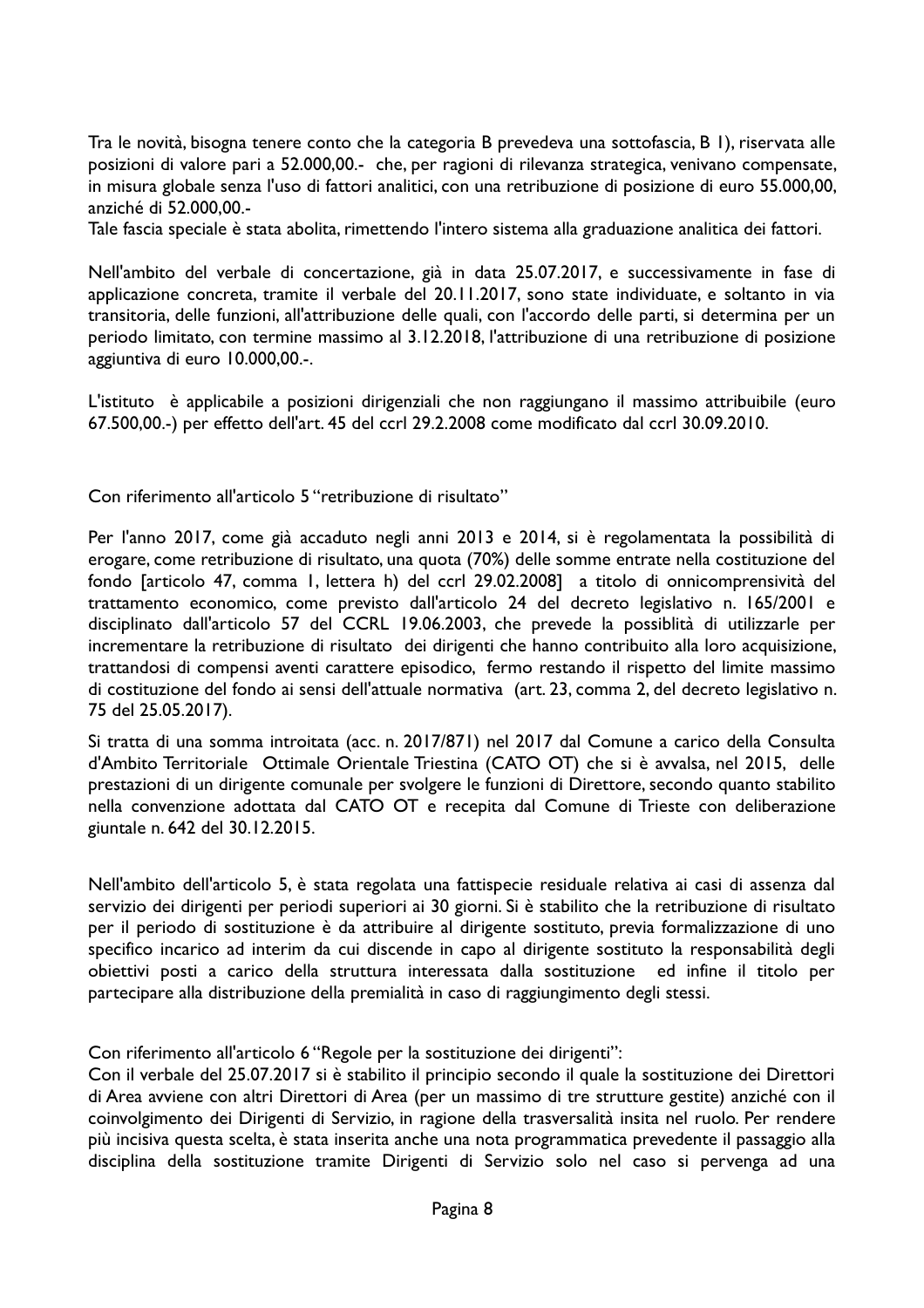Tra le novità, bisogna tenere conto che la categoria B prevedeva una sottofascia, B 1), riservata alle posizioni di valore pari a 52.000.00.- che, per ragioni di rilevanza strategica, venivano compensate. in misura globale senza l'uso di fattori analitici, con una retribuzione di posizione di euro 55.000,00, anziché di 52.000.00.-

Tale fascia speciale è stata abolita, rimettendo l'intero sistema alla graduazione analitica dei fattori.

Nell'ambito del verbale di concertazione, già in data 25.07.2017, e successivamente in fase di applicazione concreta, tramite il verbale del 20.11.2017, sono state individuate, e soltanto in via transitoria, delle funzioni, all'attribuzione delle quali, con l'accordo delle parti, si determina per un periodo limitato, con termine massimo al 3.12.2018, l'attribuzione di una retribuzione di posizione aggiuntiva di euro 10.000,00.-.

L'istituto è applicabile a posizioni dirigenziali che non raggiungano il massimo attribuibile (euro 67.500,00.-) per effetto dell'art. 45 del ccrl 29.2.2008 come modificato dal ccrl 30.09.2010.

Con riferimento all'articolo 5 "retribuzione di risultato"

Per l'anno 2017, come già accaduto negli anni 2013 e 2014, si è regolamentata la possibilità di erogare, come retribuzione di risultato, una quota (70%) delle somme entrate nella costituzione del fondo [articolo 47, comma 1, lettera h) del ccrl 29.02.2008] a titolo di onnicomprensività del trattamento economico, come previsto dall'articolo 24 del decreto legislativo n. 165/2001 e disciplinato dall'articolo 57 del CCRL 19.06.2003, che prevede la possiblità di utilizzarle per incrementare la retribuzione di risultato dei dirigenti che hanno contribuito alla loro acquisizione, trattandosi di compensi aventi carattere episodico, fermo restando il rispetto del limite massimo di costituzione del fondo ai sensi dell'attuale normativa (art. 23, comma 2, del decreto legislativo n. 75 del 25.05.2017).

Si tratta di una somma introitata (acc. n. 2017/871) nel 2017 dal Comune a carico della Consulta d'Ambito Territoriale Ottimale Orientale Triestina (CATO OT) che si è avvalsa, nel 2015, delle prestazioni di un dirigente comunale per svolgere le funzioni di Direttore, secondo quanto stabilito nella convenzione adottata dal CATO OT e recepita dal Comune di Trieste con deliberazione giuntale n. 642 del 30.12.2015.

Nell'ambito dell'articolo 5, è stata regolata una fattispecie residuale relativa ai casi di assenza dal servizio dei dirigenti per periodi superiori ai 30 giorni. Si è stabilito che la retribuzione di risultato per il periodo di sostituzione è da attribuire al dirigente sostituto, previa formalizzazione di uno specifico incarico ad interim da cui discende in capo al dirigente sostituto la responsabilità degli obiettivi posti a carico della struttura interessata dalla sostituzione ed infine il titolo per partecipare alla distribuzione della premialità in caso di raggiungimento degli stessi.

Con riferimento all'articolo 6 "Regole per la sostituzione dei dirigenti":

Con il verbale del 25.07.2017 si è stabilito il principio secondo il quale la sostituzione dei Direttori di Area avviene con altri Direttori di Area (per un massimo di tre strutture gestite) anziché con il coinvolgimento dei Dirigenti di Servizio, in ragione della trasversalità insita nel ruolo. Per rendere più incisiva questa scelta, è stata inserita anche una nota programmatica prevedente il passaggio alla disciplina della sostituzione tramite Dirigenti di Servizio solo nel caso si pervenga ad una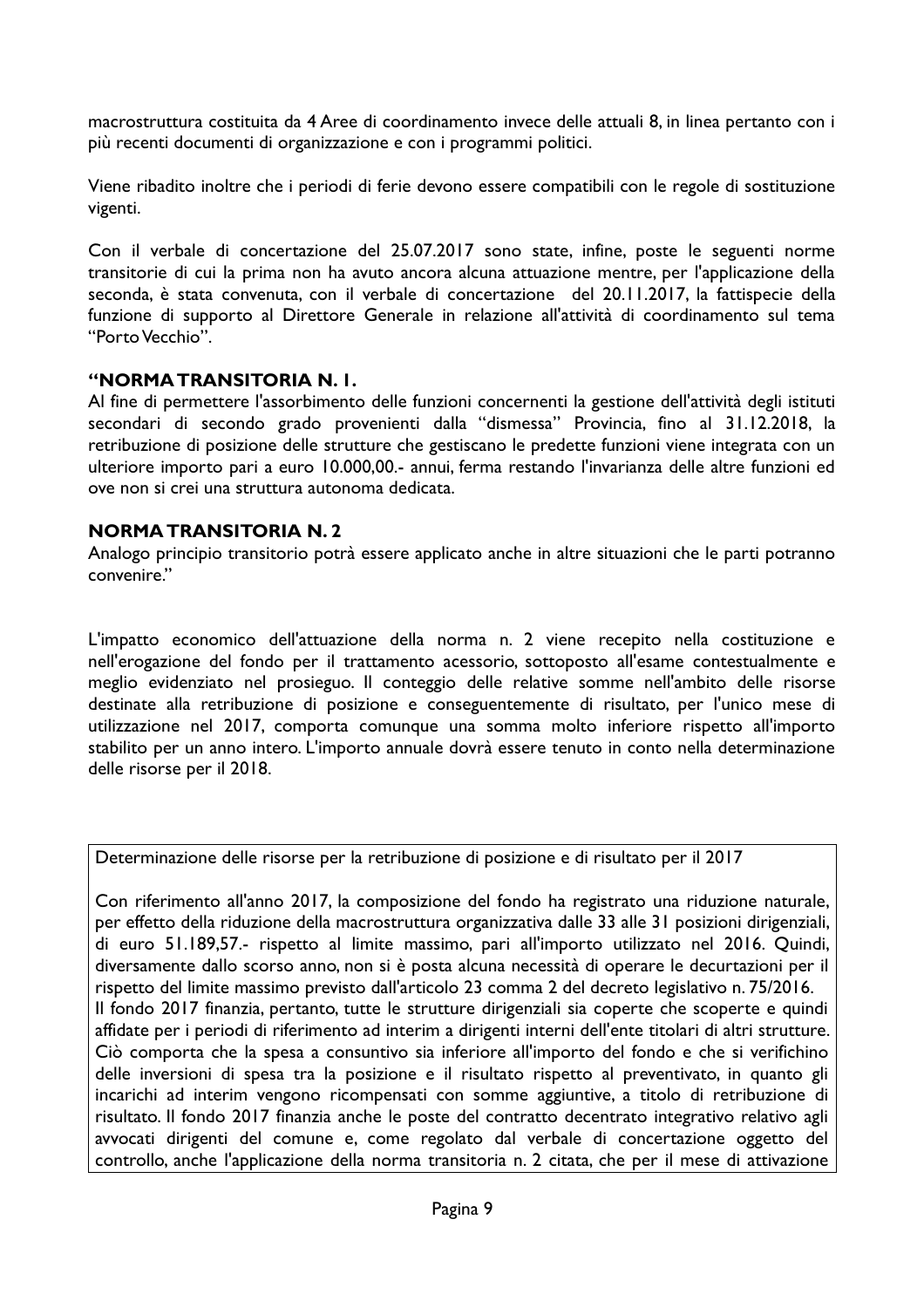macrostruttura costituita da 4 Aree di coordinamento invece delle attuali 8, in linea pertanto con i più recenti documenti di organizzazione e con i programmi politici.

Viene ribadito inoltre che i periodi di ferie devono essere compatibili con le regole di sostituzione vigenti.

Con il verbale di concertazione del 25.07.2017 sono state, infine, poste le seguenti norme transitorie di cui la prima non ha avuto ancora alcuna attuazione mentre, per l'applicazione della seconda, è stata convenuta, con il verbale di concertazione del 20.11.2017, la fattispecie della funzione di supporto al Direttore Generale in relazione all'attività di coordinamento sul tema "Porto Vecchio".

#### "NORMA TRANSITORIA N.I.

Al fine di permettere l'assorbimento delle funzioni concernenti la gestione dell'attività degli istituti secondari di secondo grado provenienti dalla "dismessa" Provincia, fino al 31.12.2018, la retribuzione di posizione delle strutture che gestiscano le predette funzioni viene integrata con un ulteriore importo pari a euro 10.000,00.- annui, ferma restando l'invarianza delle altre funzioni ed ove non si crei una struttura autonoma dedicata

#### **NORMA TRANSITORIA N. 2**

Analogo principio transitorio potrà essere applicato anche in altre situazioni che le parti potranno convenire."

L'impatto economico dell'attuazione della norma n. 2 viene recepito nella costituzione e nell'erogazione del fondo per il trattamento acessorio, sottoposto all'esame contestualmente e meglio evidenziato nel prosieguo. Il conteggio delle relative somme nell'ambito delle risorse destinate alla retribuzione di posizione e conseguentemente di risultato, per l'unico mese di utilizzazione nel 2017, comporta comunque una somma molto inferiore rispetto all'importo stabilito per un anno intero. L'importo annuale dovrà essere tenuto in conto nella determinazione delle risorse per il 2018.

Determinazione delle risorse per la retribuzione di posizione e di risultato per il 2017

Con riferimento all'anno 2017, la composizione del fondo ha registrato una riduzione naturale, per effetto della riduzione della macrostruttura organizzativa dalle 33 alle 31 posizioni dirigenziali, di euro 51.189,57.- rispetto al limite massimo, pari all'importo utilizzato nel 2016. Quindi, diversamente dallo scorso anno, non si è posta alcuna necessità di operare le decurtazioni per il rispetto del limite massimo previsto dall'articolo 23 comma 2 del decreto legislativo n. 75/2016. Il fondo 2017 finanzia, pertanto, tutte le strutture dirigenziali sia coperte che scoperte e quindi affidate per i periodi di riferimento ad interim a dirigenti interni dell'ente titolari di altri strutture. Ciò comporta che la spesa a consuntivo sia inferiore all'importo del fondo e che si verifichino delle inversioni di spesa tra la posizione e il risultato rispetto al preventivato, in quanto gli incarichi ad interim vengono ricompensati con somme aggiuntive, a titolo di retribuzione di risultato. Il fondo 2017 finanzia anche le poste del contratto decentrato integrativo relativo agli avvocati dirigenti del comune e, come regolato dal verbale di concertazione oggetto del controllo, anche l'applicazione della norma transitoria n. 2 citata, che per il mese di attivazione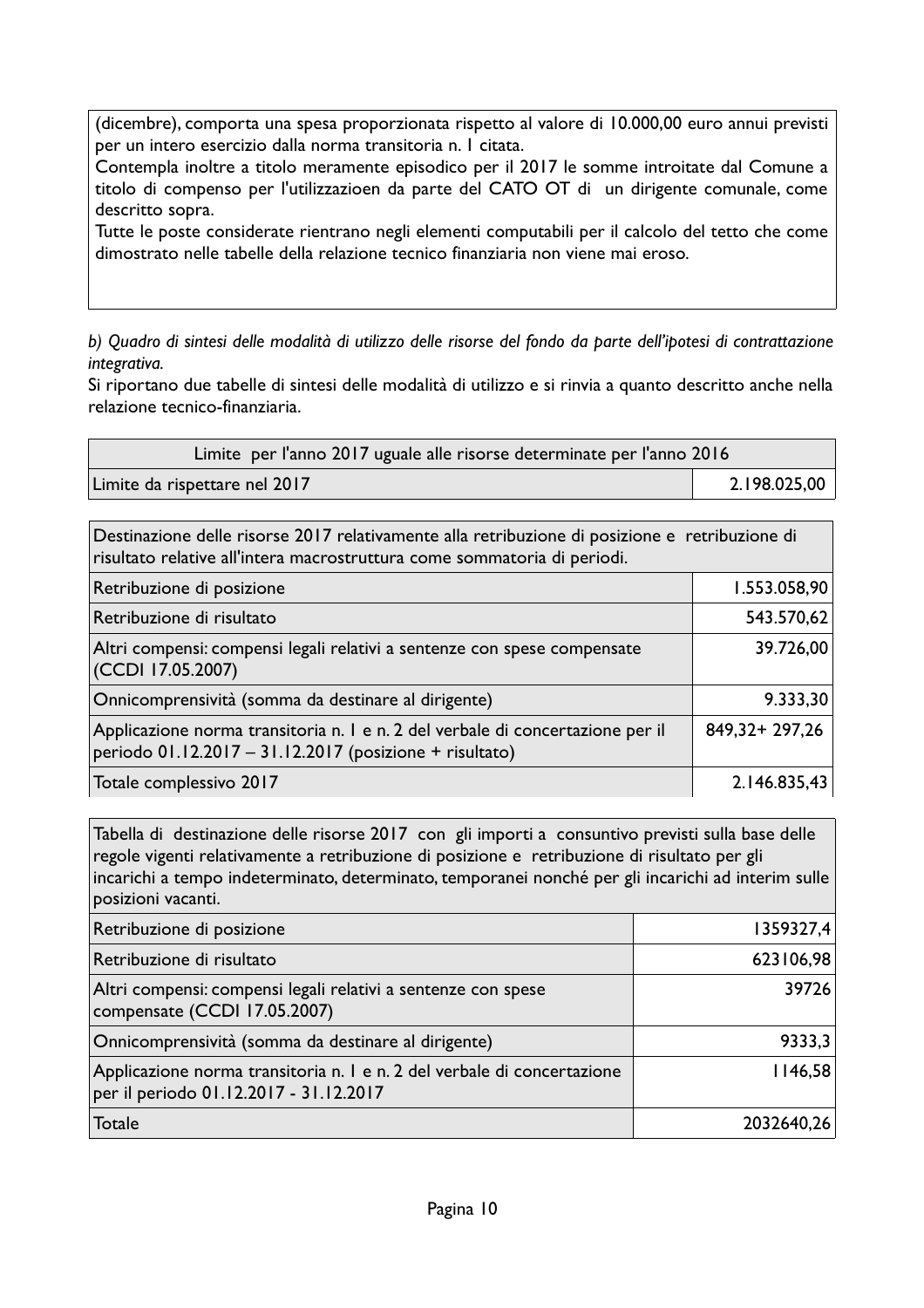(dicembre), comporta una spesa proporzionata rispetto al valore di 10.000,00 euro annui previsti per un intero esercizio dalla norma transitoria n. I citata.

Contempla inoltre a titolo meramente episodico per il 2017 le somme introitate dal Comune a titolo di compenso per l'utilizzazioen da parte del CATO OT di un dirigente comunale, come descritto sopra.

Tutte le poste considerate rientrano negli elementi computabili per il calcolo del tetto che come dimostrato nelle tabelle della relazione tecnico finanziaria non viene mai eroso.

b) Quadro di sintesi delle modalità di utilizzo delle risorse del fondo da parte dell'ipotesi di contrattazione integrativa.

Si riportano due tabelle di sintesi delle modalità di utilizzo e si rinvia a quanto descritto anche nella relazione tecnico-finanziaria.

| Limite per l'anno 2017 uguale alle risorse determinate per l'anno 2016 |              |  |
|------------------------------------------------------------------------|--------------|--|
| Limite da rispettare nel 2017                                          | 2.198.025,00 |  |

Destinazione delle risorse 2017 relativamente alla retribuzione di posizione e retribuzione di risultato relative all'intera macrostruttura come sommatoria di periodi.

| Retribuzione di posizione                                                                                                                 | 1.553.058,90      |
|-------------------------------------------------------------------------------------------------------------------------------------------|-------------------|
| Retribuzione di risultato                                                                                                                 | 543.570,62        |
| Altri compensi: compensi legali relativi a sentenze con spese compensate<br>(CCDI 17.05.2007)                                             | 39.726,00         |
| Onnicomprensività (somma da destinare al dirigente)                                                                                       | 9.333,30          |
| Applicazione norma transitoria n. I e n. 2 del verbale di concertazione per il<br>periodo 01.12.2017 - 31.12.2017 (posizione + risultato) | 849, 32 + 297, 26 |
| Totale complessivo 2017                                                                                                                   | 2.146.835,43      |

Tabella di destinazione delle risorse 2017 con gli importi a consuntivo previsti sulla base delle regole vigenti relativamente a retribuzione di posizione e retribuzione di risultato per gli incarichi a tempo indeterminato, determinato, temporanei nonché per gli incarichi ad interim sulle posizioni vacanti.

| Retribuzione di posizione                                                                                         | 1359327,4  |
|-------------------------------------------------------------------------------------------------------------------|------------|
| Retribuzione di risultato                                                                                         | 623106,98  |
| Altri compensi: compensi legali relativi a sentenze con spese<br>compensate (CCDI 17.05.2007)                     | 39726      |
| Onnicomprensività (somma da destinare al dirigente)                                                               | 9333,3     |
| Applicazione norma transitoria n. I e n. 2 del verbale di concertazione<br>per il periodo 01.12.2017 - 31.12.2017 | 1146,58    |
| Totale                                                                                                            | 2032640,26 |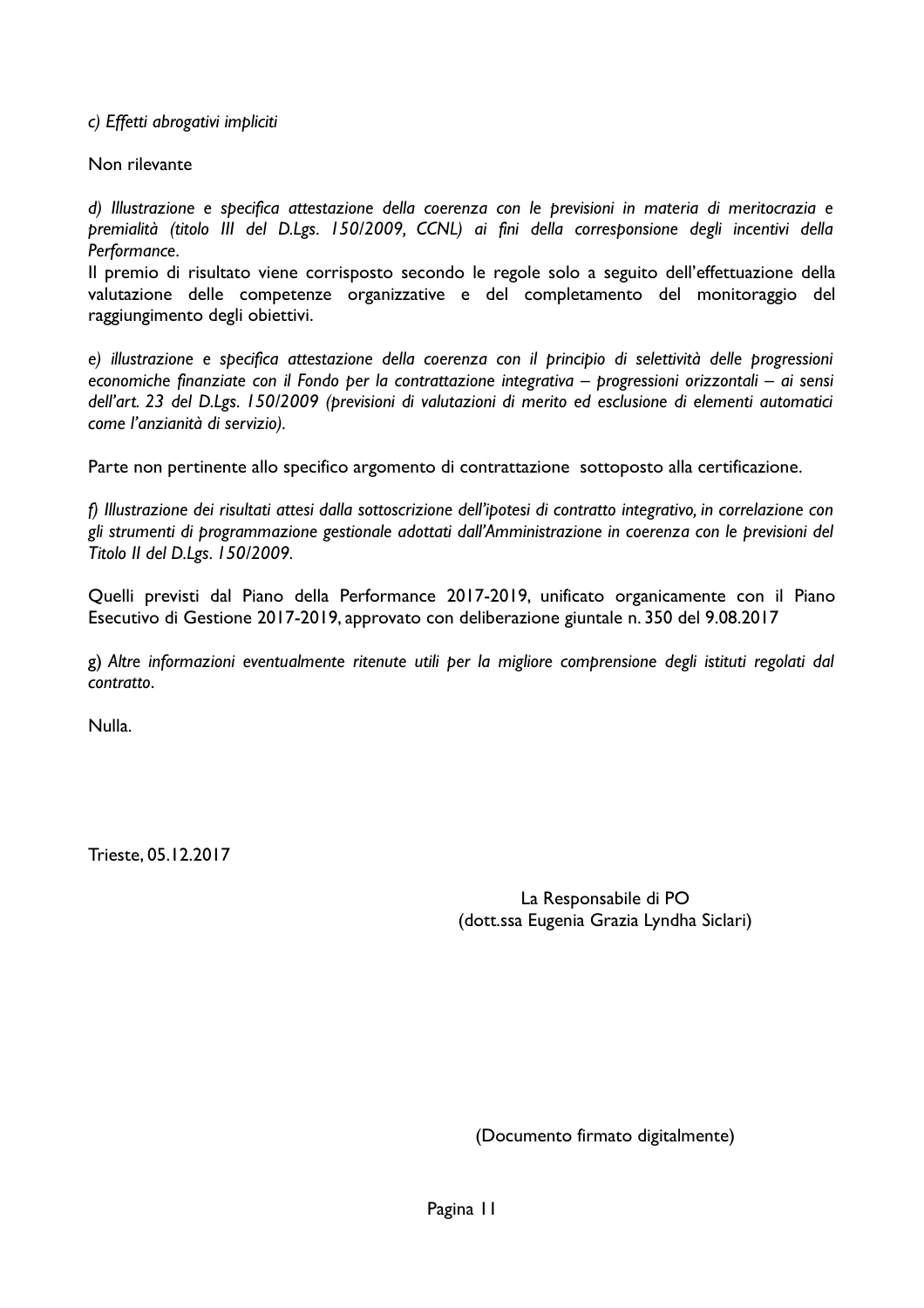c) Effetti abrogativi impliciti

Non rilevante

d) Illustrazione e specifica attestazione della coerenza con le previsioni in materia di meritocrazia e premialità (titolo III del D.Lgs. 150/2009, CCNL) ai fini della corresponsione degli incentivi della Performance.

Il premio di risultato viene corrisposto secondo le regole solo a seguito dell'effettuazione della valutazione delle competenze organizzative e del completamento del monitoraggio del raggiungimento degli obiettivi.

e) illustrazione e specifica attestazione della coerenza con il principio di selettività delle progressioni economiche finanziate con il Fondo per la contrattazione integrativa - progressioni orizzontali - ai sensi dell'art. 23 del D.Lgs. 150/2009 (previsioni di valutazioni di merito ed esclusione di elementi automatici come l'anzianità di servizio).

Parte non pertinente allo specifico argomento di contrattazione sottoposto alla certificazione.

f) Illustrazione dei risultati attesi dalla sottoscrizione dell'ipotesi di contratto integrativo, in correlazione con gli strumenti di programmazione gestionale adottati dall'Amministrazione in coerenza con le previsioni del Titolo II del D.Lgs. 150/2009.

Quelli previsti dal Piano della Performance 2017-2019, unificato organicamente con il Piano Esecutivo di Gestione 2017-2019, approvato con deliberazione giuntale n. 350 del 9.08.2017

g) Altre informazioni eventualmente ritenute utili per la migliore comprensione degli istituti regolati dal contratto

**Nulla** 

Trieste, 05.12.2017

La Responsabile di PO (dott.ssa Eugenia Grazia Lyndha Siclari)

(Documento firmato digitalmente)